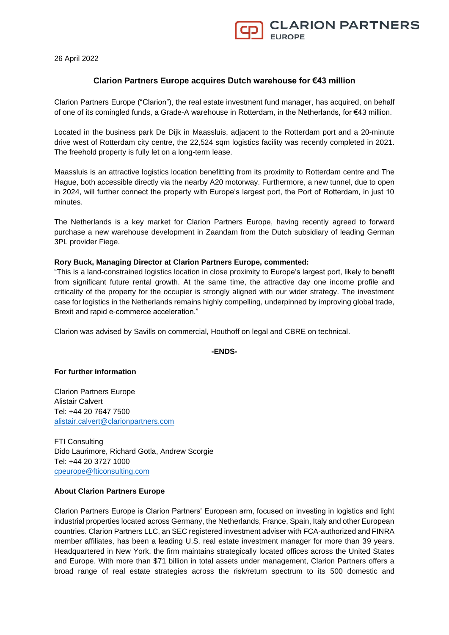26 April 2022

# **Clarion Partners Europe acquires Dutch warehouse for €43 million**

Clarion Partners Europe ("Clarion"), the real estate investment fund manager, has acquired, on behalf of one of its comingled funds, a Grade-A warehouse in Rotterdam, in the Netherlands, for €43 million.

Located in the business park De Dijk in Maassluis, adjacent to the Rotterdam port and a 20-minute drive west of Rotterdam city centre, the 22,524 sqm logistics facility was recently completed in 2021. The freehold property is fully let on a long-term lease.

Maassluis is an attractive logistics location benefitting from its proximity to Rotterdam centre and The Hague, both accessible directly via the nearby A20 motorway. Furthermore, a new tunnel, due to open in 2024, will further connect the property with Europe's largest port, the Port of Rotterdam, in just 10 minutes.

The Netherlands is a key market for Clarion Partners Europe, having recently agreed to forward purchase a new warehouse development in Zaandam from the Dutch subsidiary of leading German 3PL provider Fiege.

#### **Rory Buck, Managing Director at Clarion Partners Europe, commented:**

"This is a land-constrained logistics location in close proximity to Europe's largest port, likely to benefit from significant future rental growth. At the same time, the attractive day one income profile and criticality of the property for the occupier is strongly aligned with our wider strategy. The investment case for logistics in the Netherlands remains highly compelling, underpinned by improving global trade, Brexit and rapid e-commerce acceleration."

Clarion was advised by Savills on commercial, Houthoff on legal and CBRE on technical.

## **-ENDS-**

#### **For further information**

Clarion Partners Europe Alistair Calvert Tel: +44 20 7647 7500 [alistair.calvert@clarionpartners.com](mailto:alistair.calvert@clarionpartners.com)

FTI Consulting Dido Laurimore, Richard Gotla, Andrew Scorgie Tel: +44 20 3727 1000 [cpeurope@fticonsulting.com](mailto:cpeurope@fticonsulting.com)

## **About Clarion Partners Europe**

Clarion Partners Europe is Clarion Partners' European arm, focused on investing in logistics and light industrial properties located across Germany, the Netherlands, France, Spain, Italy and other European countries. Clarion Partners LLC, an SEC registered investment adviser with FCA-authorized and FINRA member affiliates, has been a leading U.S. real estate investment manager for more than 39 years. Headquartered in New York, the firm maintains strategically located offices across the United States and Europe. With more than \$71 billion in total assets under management, Clarion Partners offers a broad range of real estate strategies across the risk/return spectrum to its 500 domestic and